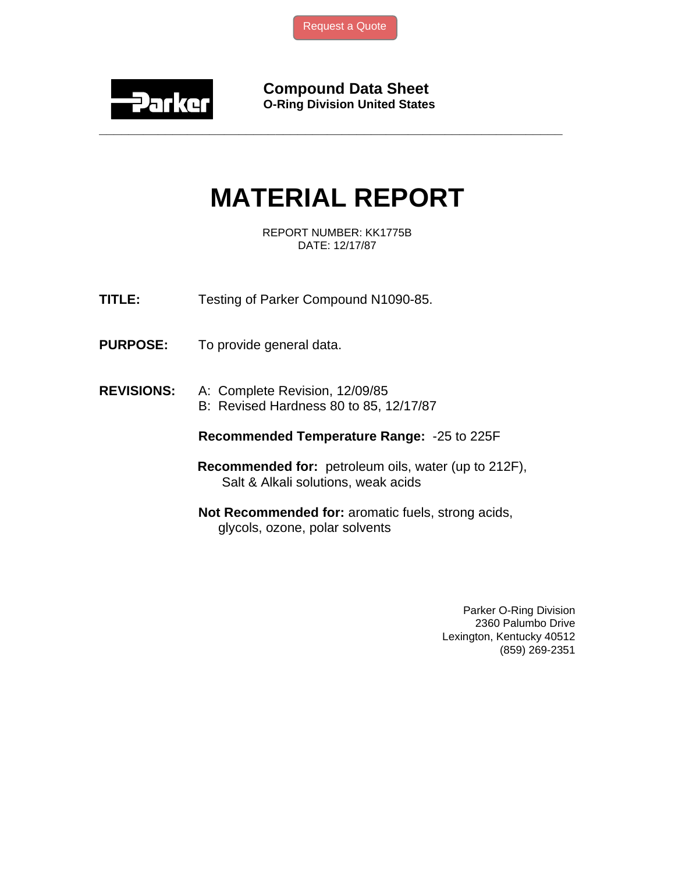

**Compound Data Sheet O-Ring Division United States** 

# **MATERIAL REPORT**

**\_\_\_\_\_\_\_\_\_\_\_\_\_\_\_\_\_\_\_\_\_\_\_\_\_\_\_\_\_\_\_\_\_\_\_\_\_\_\_\_\_\_\_\_\_\_\_\_\_\_\_\_\_\_\_\_\_\_\_\_\_\_\_** 

REPORT NUMBER: KK1775B DATE: 12/17/87

- **TITLE:** Testing of Parker Compound N1090-85.
- **PURPOSE:** To provide general data.

## **REVISIONS:** A: Complete Revision, 12/09/85

B: Revised Hardness 80 to 85, 12/17/87

#### **Recommended Temperature Range:** -25 to 225F

- **Recommended for:** petroleum oils, water (up to 212F), Salt & Alkali solutions, weak acids
- **Not Recommended for:** aromatic fuels, strong acids, glycols, ozone, polar solvents

Parker O-Ring Division 2360 Palumbo Drive Lexington, Kentucky 40512 (859) 269-2351